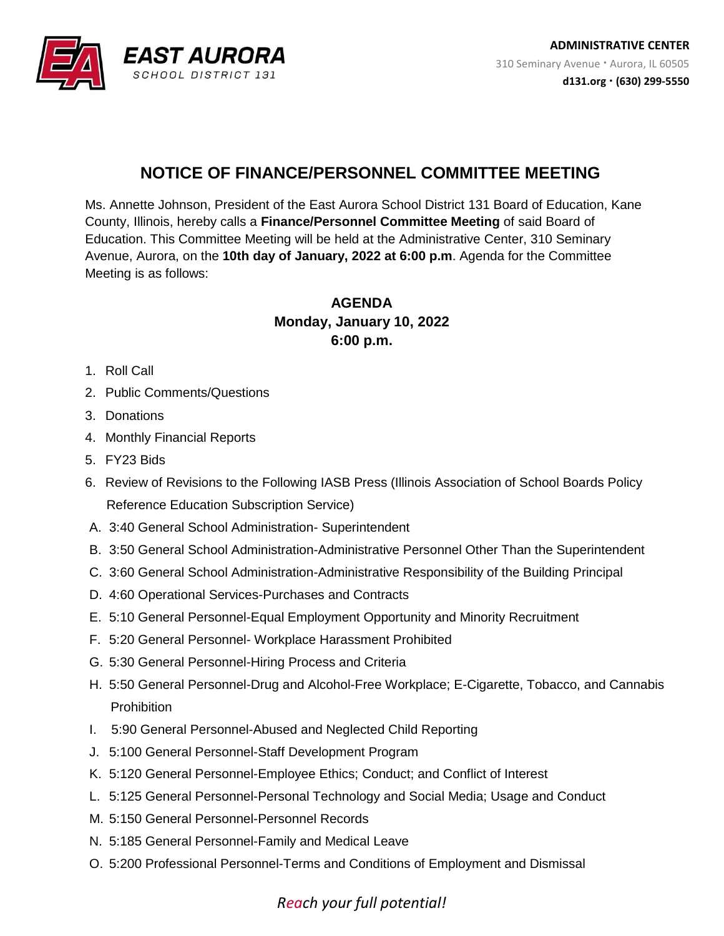

## **NOTICE OF FINANCE/PERSONNEL COMMITTEE MEETING**

Ms. Annette Johnson, President of the East Aurora School District 131 Board of Education, Kane County, Illinois, hereby calls a **Finance/Personnel Committee Meeting** of said Board of Education. This Committee Meeting will be held at the Administrative Center, 310 Seminary Avenue, Aurora, on the **10th day of January, 2022 at 6:00 p.m**. Agenda for the Committee Meeting is as follows:

## **AGENDA Monday, January 10, 2022 6:00 p.m.**

- 1. Roll Call
- 2. Public Comments/Questions
- 3. Donations
- 4. Monthly Financial Reports
- 5. FY23 Bids
- 6. Review of Revisions to the Following IASB Press (Illinois Association of School Boards Policy Reference Education Subscription Service)
- A. 3:40 General School Administration- Superintendent
- B. 3:50 General School Administration-Administrative Personnel Other Than the Superintendent
- C. 3:60 General School Administration-Administrative Responsibility of the Building Principal
- D. 4:60 Operational Services-Purchases and Contracts
- E. 5:10 General Personnel-Equal Employment Opportunity and Minority Recruitment
- F. 5:20 General Personnel- Workplace Harassment Prohibited
- G. 5:30 General Personnel-Hiring Process and Criteria
- H. 5:50 General Personnel-Drug and Alcohol-Free Workplace; E-Cigarette, Tobacco, and Cannabis **Prohibition**
- I. 5:90 General Personnel-Abused and Neglected Child Reporting
- J. 5:100 General Personnel-Staff Development Program
- K. 5:120 General Personnel-Employee Ethics; Conduct; and Conflict of Interest
- L. 5:125 General Personnel-Personal Technology and Social Media; Usage and Conduct
- M. 5:150 General Personnel-Personnel Records
- N. 5:185 General Personnel-Family and Medical Leave
- O. 5:200 Professional Personnel-Terms and Conditions of Employment and Dismissal

## *Reach your full potential!*